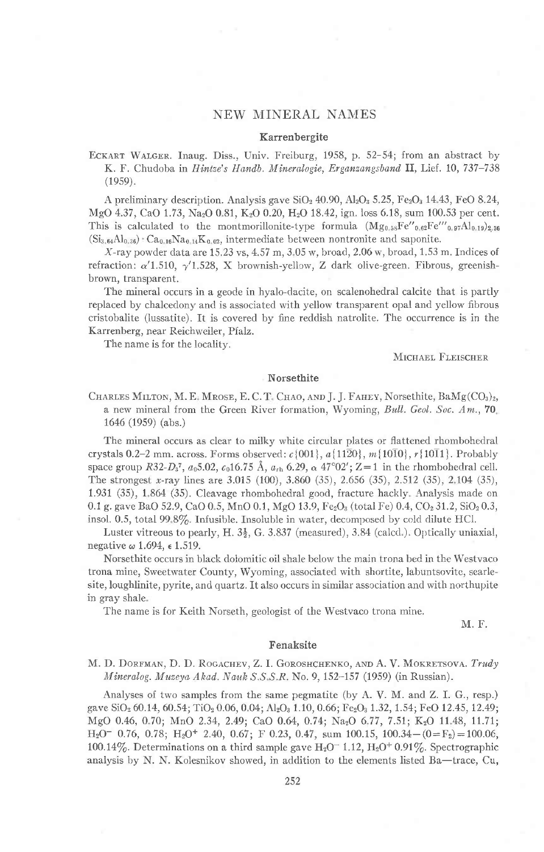# NEW MINERAL NAMES

#### Karrenbergite

ECKART WALGER. Inaug. Diss., Univ. Freiburg, 1958, p. 52–54; from an abstract by K. F. Chudoba in *Hintze's Handb. Mineralogie, Erganzangsband* II, Lief. 10, 737-738  $(1959).$ 

A preliminary description. Analysis gave  $SiO<sub>2</sub>$  40.90,  $Al<sub>2</sub>O<sub>3</sub>$  5.25, Fe<sub>2</sub>O<sub>3</sub> 14.43, FeO 8.24, MgO 4.37, CaO 1.73, Na<sub>2</sub>O 0.81, K<sub>2</sub>O 0.20, H<sub>2</sub>O 18.42, ign. loss 6.18, sum 100.53 per cent. This is calculated to the montmorillonite-type formula  $(Mg_{0.58}Fe''_{0.82}Fe''_{0.97}Al_{0.19})_{2.36}$  $(Si_{3,64}Al_{0,36})$   $Ca_{0.16}Na_{0,14}K_{0,02}$ , intermediate between nontronite and saponite.

 $X$ -ray powder data are 15.23 vs, 4.57 m, 3.05 w, broad, 2.06 w, broad, 1.53 m. Indices of refraction:  $\alpha'$ 1.510,  $\gamma'$ 1.528, X brownish-yellow, Z dark olive-green. Fibrous, greenishbrown, transparent.

The mineral occurs in a geode in hyalo-dacite, on scalenohedral calcite that is partly replaced by chalcedony and is associated with yellow transparent opal and yellow fibrous cristobalite (lussatite). It is covered by fine reddish natrolite. The occurrence is in the Karrenberg, near Reichweiler, Pfalz.

The name is for the localitv.

MICHAEL FLEISCHER

#### Norsethite

CHARLES MILTON, M. E. MROSE, E. C. T. CHAO, AND J. J. FAHEY, Norsethite,  $BaMg(CO<sub>3</sub>)<sub>2</sub>$ , a new mineral from the Green River formation, Wyoming, Bull. Geol. Soc.  $Am$ ., 70. 1646 (1959) (abs.)

The mineral occurs as clear to milky white circular plates or flattened rhombohedral crystals 0.2-2 mm. across. Forms observed:  $c$  {001},  $a$  {1120},  $m$  {1010},  $r$  {1011}. Probably space group R32- $D_3^7$ ,  $a_05.02$ ,  $c_016.75$  Å,  $a_{\rm rh}$  6.29,  $\alpha$  47°02'; Z=1 in the rhombohedral cell. The strongest x-ray lines are 3.015 (100), 3.860 (35), 2.656 (35), 2.512 (35), 2.104 (35), 1.931 (35), 1 864 (35). Cleavage rhombohedral good, fracture hackly Analysis made on 0.1 g. gave BaO 52.9, CaO 0.5, MnO 0.1, MgO 13.9, Fe<sub>2</sub>O<sub>3</sub> (total Fe) 0.4, CO<sub>2</sub> 31.2, SiO<sub>2</sub> 0.3, insol. 0.5, total 99.8%. Infusible. Insoluble in water, decomposed by cold dilute HCl.

Luster vitreous to pearly, H.  $3\frac{1}{2}$ , G. 3.837 (measured), 3.84 (calcd.). Optically uniaxial, negative  $\omega$  1.694,  $\epsilon$  1.519.

Norsethite occurs in black dolomitic oil shale below the main trona bed in the Westvaco trona mine, Sweetwater County, Wyoming, associated with shortite, labuntsovite, searlesite, loughlinite, pyrite, and quartz. It also occurs in similar association and with northupite in gray shale

The name is for Keith Norseth, geologist of the Westvaco trona mine.

M. F.

### Fenaksite

M. D. DORFMAN, D. D. ROGACHEV, Z. I. GOROSHCHENKO, AND A. V. MOKRETSOVA. Trudy Mineralog. Muzeya Akad. Nauk S.S.S.R. No. 9, 152-157 (1959) (in Russian).

Analyses of two samples from the same pegmatite (by A. V. M. and Z. I. G., resp.) gave SiO<sub>2</sub> 60.14, 60.54; TiO<sub>2</sub> 0.06, 0.04; Al<sub>2</sub>O<sub>3</sub> 1.10, 0.66; Fe<sub>2</sub>O<sub>3</sub> 1.32, 1.54; FeO 12.45, 12.49; MgO 0.46, 0.70; MnO 2.34, 2.49; CaO 0.64, 0.74; Na<sub>2</sub>O 6.77, 7.51; K<sub>2</sub>O 11.48, 11.71;  $H<sub>2</sub>O<sup>-</sup>$  0.76, 0.78;  $H<sub>2</sub>O<sup>+</sup>$  2.40, 0.67; F 0.23, 0.47, sum 100.15, 100.34 - (0=F<sub>2</sub>) = 100.06, 100.14%. Determinations on a third sample gave  $H_2O^-$  1.12,  $H_2O^+$  0.91%. Spectrographic analysis by N. N. Kolesnikov showed, in addition to the elements listed Ba—trace, Cu,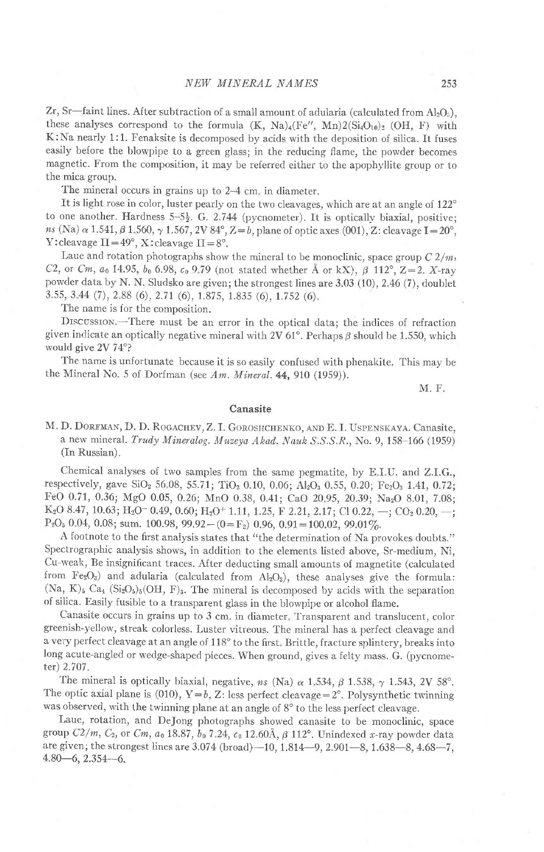Zr, Sr—faint lines. After subtraction of a small amount of adularia (calculated from  $Al_2O_3$ ), these analyses correspond to the formula  $(K, Na)_{4}(Fe'', Mn)2(Si_{4}O_{10})_{2}$  (OH, F) with K:Na nearly 1:1. Fenaksite is decomposed by acids with the deposition of silica. It fuses easily before the blowpipe to a green glass; in the reducing flame, the powder becomes magnetic. From the composition, it may be referred either to the apophyllite group or to the mica group.

The mineral occurs in grains up to 2–4 cm, in diameter.

It is light rose in color, luster pearly on the two cleavages, which are at an angle of 122° to one another. Hardness  $5-5\frac{1}{2}$ . G. 2.744 (pycnometer). It is optically biaxial, positive;  $ns$  (Na)  $\alpha$  1.541,  $\beta$  1.560,  $\gamma$  1.567, 2V 84°, Z=b, plane of optic axes (001), Z: cleavage I=20°, Y: cleavage  $II=49^\circ$ , X: cleavage  $II=8^\circ$ .

Laue and rotation photographs show the mineral to be monoclinic, space group  $C\frac{2}{m}$ , C2, or Cm,  $a_0$  14.95,  $b_0$  6.98,  $c_0$  9.79 (not stated whether Å or kX),  $\beta$  112°, Z=2. X-ray powder data by N. N. Sludsko are given; the strongest lines are 3.03 (10), 2.46 (7), doublet 3.55, 3 44 (7),2 88 (6),2.7I (6), 1.875, 1.835 (6), r.752 (6).

The name is for the composition.

DrscussroN.-There must be an error in the optical data; the indices of refraction given indicate an optically negative mineral with 2V 61°. Perhaps  $\beta$  should be 1.550, which would give 2V 74°?

The name is unfortunate because it is so easily confused with phenakite. This may be the Mineral No. 5 of Dorfman (see Am. Mineral.  $44, 910$  (1959)).

M. F,

#### Canasite

M. D. DORFMAN, D. D. ROGACHEV, Z. I. GOROSHCHENKO, AND E. I. USPENSKAVA. Canasite, a new mineral. Trudy Mineralog. Muzeya Akad. Nauk  $S.S.S.R.,$  No. 9, 158-166 (1959) (In Russian).

Chemical analyses of two samples from the same pegmatite, by E IIJ. and Z.LG., respectively, gave SiO<sub>2</sub> 56.08, 55.71; TiO<sub>2</sub> 0.10, 0.06; Al<sub>2</sub>O<sub>3</sub> 0.55, 0.20; Fe<sub>2</sub>O<sub>3</sub> 1.41, 0.72; FeO 0.71,0.36; MgO 0.05,0.26; MnO 0.38,0.41; CaO 2095,20.39; NazO 8.01, 7.08; K<sub>2</sub>O 8.47, 10.63; H<sub>2</sub>O<sup>-</sup> 0.49, 0.60; H<sub>2</sub>O<sup>+</sup> 1.11, 1.25, F 2.21, 2.17; Cl 0.22, -; CO<sub>2</sub> 0.20, -;  $P_2O_5$  0.04, 0.08; sum. 100.98, 99.92 - (0= $F_2$ ) 0.96, 0.91 = 100.02, 99.01%.

A footnote to the first analysis states that "the determination of Na provokes doubts." Spectrographic analysis shows, in adclition to the elements listed above, Sr-medium, Ni, Cu-weak, Be insignificant traces. After deducting small amounts of magnetite (calculated from  $Fe<sub>2</sub>O<sub>3</sub>$ ) and adularia (calculated from  $Al<sub>2</sub>O<sub>3</sub>$ ), these analyses give the formula:  $(Na, K)_5$  Ca<sub>4</sub> (Si<sub>2</sub>O<sub>5</sub>)<sub>5</sub>(OH, F)<sub>3</sub>. The mineral is decomposed by acids with the separation of silica. Easily fusible to a transparent glass in the blowpipe or alcohol flame.

Canasite occurs in grains up to 3 cm. in diameter. Transparent and translucent, color greenish-yellow, streak colorless. Lusler vitreous. The mineral has a perfect cleavage and a very perfect cleavage at an angle of 118° to the first. Brittle, fracture splintery, breaks into long acute-angled or wedge-shaped pieces. When ground, gives a feity mass. G. (pycnometer) 2.7O7.

The mineral is optically biaxial, negative, ns (Na)  $\alpha$  1.534,  $\beta$  1.538,  $\gamma$  1.543, 2V 58°. The optic axial plane is (010),  $Y=b$ , Z: less perfect cleavage=2°. Polysynthetic twinning was observed, with the twinning plane at an angle of 8° to the less perfect cleavage.

Laue, rotation, and DeJong photographs showed canasite to be monoclinic, space group  $C2/m$ ,  $C_2$ , or  $Cm$ ,  $a_0$  18.87,  $b_0$  7.24,  $c_0$  12.60Å,  $\beta$  112°. Unindexed x-ray powder data are given; the strongest lines are  $3.074$  (broad) $-10$ ,  $1.814-9$ ,  $2.901-8$ ,  $1.638-8$ ,  $4.68-7$ ,  $4.80-6$ ,  $2.354-6$ .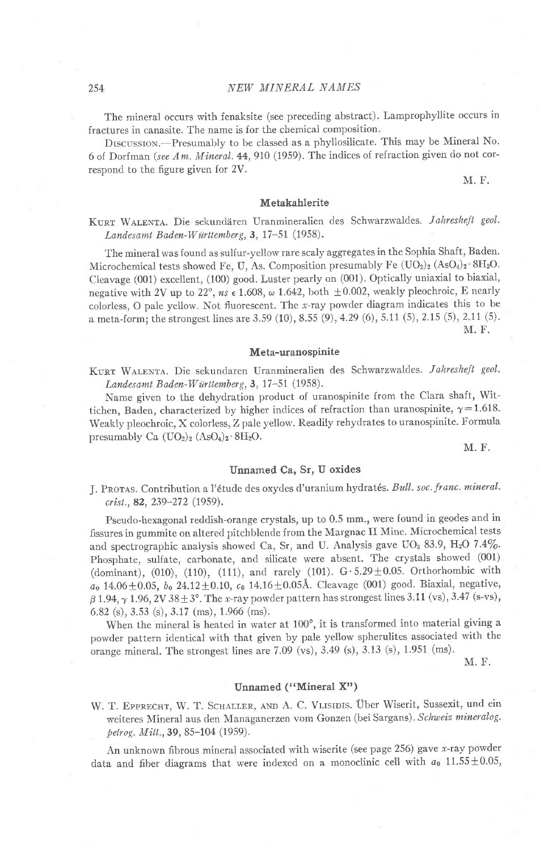The mineral occurs with fenaksite (see preceding abstract). Lamprophyllite occurs in fractures in canasite. The name is for the chemical composition

DISCUSSION.-Presumably to be classed as a phyllosilicate. This may be Mineral No. 6 of Dorfman (see Am. Mineral.  $44$ , 910 (1959). The indices of refraction given do not correspond to the figure given for 2V.

M. F.

## Metakahlerite

KURT WALENTA. Die sekundären Uranmineralien des Schwarzwaldes. Jahresheft geol. Landesamt Baden-Württemberg, 3, 17-51 (1958).

The mineral was found as sulfur-yellow rare scaly aggregates in the Sophia Shaft, Baden. Microchemical tests showed Fe, U, As. Composition presumably Fe  $(UO<sub>2</sub>)<sub>2</sub>$  (AsO<sub>4</sub>)<sub>2</sub> SH<sub>2</sub>O. Cleavage (001) excellent, (100) good. Luster pearly on (001). Optically uniaxial to biaxial, negative with 2V up to 22°,  $ns$   $\epsilon$  1.608,  $\omega$  1.642, both  $\pm 0.002$ , weakly pleochroic, E nearly colorless, o pale yellow. Not lluorescent. The r-ray powder diagram indicates this to be a meta-form; the strongest lines are 3.59 (10), 8.55 (9), 4.29 (6), 5.11 (5), 2.15 (5), 2.11 (5). M. F.

#### Meta-uranospinite

KURT WALENTA. Die sekundaren Uranmineralien des Schwarzwaldes. Jahresheft geol. Landesamt Baden-Württemberg, 3, 17-51 (1958).

Name given to the dehydration product of uranospinite from the clara shaft, wittichen, Baden, characterized by higher indices of refraction than uranospinite,  $\gamma = 1.618$ . Weakly pleochroic, X colorless, Z pale yellow. Readily rehydrates to uranospinite. Formula presumably Ca  $(UO<sub>2</sub>)<sub>2</sub> (AsO<sub>4</sub>)<sub>2</sub> 8H<sub>2</sub>O$ .

M. F.

#### Unnamed Ca, Sr, U oxides

J. PROTAS. Contribution a l'étude des oxydes d'uranium hydratés. Bull. soc. franc. mineral. crist., 82, 239-272 (1959).

Pseudo-hexagonal reddish-orange crystals, up to 0.5 mm., were found in geodes and in fissures in gummite on altered pitchblende from the Margnac II Mine. Microchemical tests and spectrographic analysis showed Ca, Sr, and U. Analysis gave UO<sub>3</sub> 83.9, H<sub>2</sub>O 7.4%. Phosphate, sulfate, carbonate, and silicate were absent. The crystals showed (001) (dominant), (010), (110), (111), and rarely (101).  $G \cdot 5.29 \pm 0.05$ . Orthorhombic with  $a_0$  14.06  $\pm$  0.05,  $b_0$  24.12  $\pm$  0.10,  $c_0$  14.16  $\pm$  0.05Å. Cleavage (001) good. Biaxial, negative,  $\beta$  1.94,  $\gamma$  1.96, 2V38 ± 3°. The x-ray powder pattern has strongest lines 3.11 (vs), 3.47 (s-vs), 6.82 (s), 3.53 (s), 3.17 (ms), 1 966 (ms).

When the mineral is heated in water at  $100^\circ$ , it is transformed into material giving a powder pattern identical with that given by pale yellow spherulites associated with the orange mineral. The strongest lines are 7.09 (vs), 3.49 (s), 3.13 (s), 1.951 (ms).

M. F.

#### Unnamed ("Mineral X")

W. T. EPPRECHT, W. T. SCHALLER, AND A. C. VLISIDIS. Über Wiserit, Sussexit, und ein weiteres Mineral aus den Managanerzen vom Gonzen (bei Sargans). Schweiz mineralog. petrog. Mitt., 39, 85-104 (1959).

An unknown fibrous mineral associated with wiserite (see page 256) gave x-ray powder data and fiber diagrams that were indexed on a monoclinic cell with  $a_0$  11.55  $\pm$ 0.05,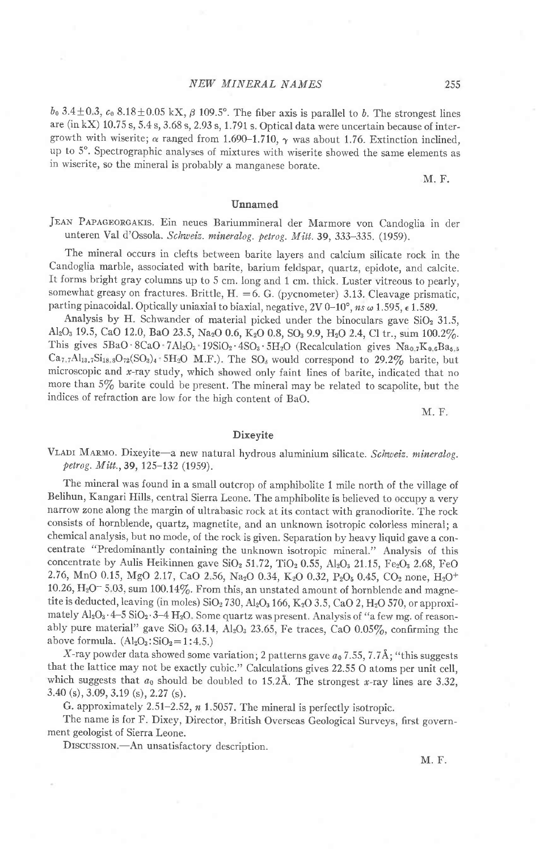## NEW MINERAL NAMES

 $b_0$  3.4  $\pm$ 0.3,  $c_0$  8.18  $\pm$ 0.05 kX,  $\beta$  109.5°. The fiber axis is parallel to b. The strongest lines are (in kX)  $10.75$  s,  $5.4$  s,  $3.68$  s,  $2.93$  s,  $1.791$  s. Optical data were uncertain because of intergrowth with wiserite;  $\alpha$  ranged from 1.690-1.710,  $\gamma$  was about 1.76. Extinction inclined, up to 5'' Spectrographic analyses of mixtures with wiserite showed the same elements as in wiserite, so the minerai is probably a manganese borate.

M. F.

#### Unnamed

JEAN PAPAGEORGAKIS. Ein neues Bariummineral der Marmore von Candoglia in der unteren Val d'Ossola. Schweiz. mineralog. petrog. Mitt.39, 333-335. (1959).

The mineral occurs in clefts between barite layers and calcium silicate rock in the Candoglia marble, associated with barite, barium feldspar, quartz, epidote, and calcite. It forms bright gray columns up to 5 cm. long and 1 cm. thick. Luster vitreous to pearly, somewhat greasy on fractures. Brittle,  $H. = 6$ . G. (pycnometer) 3.13. Cleavage prismatic, parting pinacoidal. Optically uniaxial to biaxial, negative, 2V 0–10°,  $ns$   $\omega$  1.595,  $\epsilon$  1.589.

Analysis by H. Schwander of material picked under the binoculars gave  $SiO<sub>2</sub> 31.5$ , Al<sub>2</sub>O<sub>3</sub> 19.5, CaO 12.0, BaO 23.5, Na<sub>2</sub>O 0.6, K<sub>2</sub>O 0.8, SO<sub>3</sub> 9.9, H<sub>2</sub>O 2.4, Cl tr., sum 100.2%. This gives  $5BaO \cdot 8CaO \cdot 7Al_2O_3 \cdot 19SiO_2 \cdot 4SO_3 \cdot 5H_2O$  (Recalculation gives  $Na_{0.7}K_{0.6}Ba_{5.5}$  $Ca_{7.7}Al_{13.7}Si_{18.8}O_{72}(SO_3)_4$  5H<sub>2</sub>O M.F.). The SO<sub>s</sub> would correspond to 29.2% barite, but microscopic and  $x$ -ray study, which showed only faint lines of barite, indicated that no more than 5/6 barite could be present. The mineral may be related to scapolite, but the indices of refraction are low for the hish content of BaO.

M. F.

#### Dixeyite

VLADI MARMO. Dixeyite-a new natural hydrous aluminium silicate. Schweiz. mineralog. petrog.  $M$ itt., 39, 125-132 (1959).

The mineral was found in a small outcrop of amphibolite 1 mile north of the village of Belihun, Kangari Hills, central sierra Leone. The amphibolite is believed to occupy a very narrow zone along the margin of ultrabasic rock at its contact with granodiorite. The rock consists of hornblende, quartz, magnetite, and an unknown isotropic colorless minerai; a chemical analysis, but no mode, of the rock is given. Separation by heavy liquid gave a concentrate "Predominantly containing the unknown isotropic mineral." Analysis of this concentrate by Aulis Heikinnen gave  $SiO<sub>2</sub> 51.72$ ,  $TiO<sub>2</sub> 0.55$ ,  $Al<sub>2</sub>O<sub>3</sub> 21.15$ ,  $Fe<sub>2</sub>O<sub>3</sub> 2.68$ ,  $FeO$ 2.76, MnO 0.15, MgO 2.17, CaO 2.56, Na<sub>2</sub>O 0.34, K<sub>2</sub>O 0.32, P<sub>2</sub>O<sub>5</sub> 0.45, CO<sub>2</sub> none, H<sub>2</sub>O<sup>+</sup> 10.26,  $\text{H}_2\text{O}^-$  5.03, sum 100.14%. From this, an unstated amount of hornblende and magnetite is deducted, leaving (in moles)  $SiO<sub>2</sub> 730$ ,  $Al<sub>2</sub>O<sub>3</sub> 166$ , K<sub>2</sub>O 3.5, CaO 2, H<sub>2</sub>O 570, or approximately  $Al_2O_3 \cdot 4-5$  SiO<sub>2</sub> $\cdot 3-4$  H<sub>2</sub>O. Some quartz was present. Analysis of "a few mg. of reasonably pure material" gave SiO<sub>2</sub> 63.14, Al<sub>2</sub>O<sub>3</sub> 23.65, Fe traces, CaO 0.05%, confirming the above formula.  $(Al<sub>2</sub>O<sub>3</sub>: SiO<sub>2</sub>=1:4.5.)$ 

X-ray powder data showed some variation; 2 patterns gave  $a_0$  7.55, 7.7Å; "this suggests that the lattice may not be exactly cubic." Calculations gives 22.55 o atoms per unit cell, which suggests that  $a_0$  should be doubled to 15.2Å. The strongest x-ray lines are 3.32, 3.40 (s),3.09,3.19 (s),2.27 (s).

G. approximately  $2.51-2.52$ ,  $n$  1.5057. The mineral is perfectly isotropic.

The name is for F. Dixey, Director, British Overseas Geological Surveys, first government geologist of Sierra Leone.

DISCUSSION.-An unsatisfactory description.

M. F.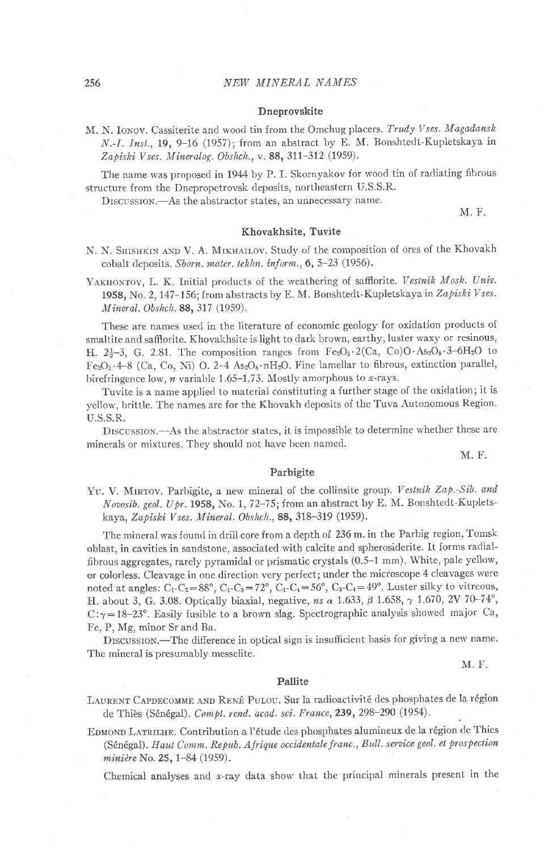#### Dneprovskite

M. N. Ionov. Cassiterite and wood tin from the Omchug placers. Trudy Vses. Magadansk N.-I. Inst., 19, 9-16 (1957); from an abstract by E. M. Bonshtedt-Kupletskaya in Zapiski Vses. Mineralog. Obshch., v. 88, 311-312 (1959).

The name was proposed in 1944 by P. I. Skornyakov for wood tin of radiating fibrous structure from the Dnepropetrovsk deposits, northeastern U.S S.R.

DISCUSSION.-As the abstractor states, an unnecessary name.

M. F.

#### Khovakhsite, Tuvite

- N. N. SHISHKIN AND V. A. MIKHAILOV. Study of the composition of ores of the Khovakh cobalt deposits. Sborn. mater. tekhn. inform., 6, 5-23 (1956).
- YAKHONTOV, L. K. Initial products of the weathering of safflorite. Vestnik Mosk. Univ. 1958, No. 2, 147-156; from abstracts by E. M. Bonshtedt-Kupletskaya in Zapiski Vses. Mineral. Obshch. 88, 317 (1959).

These are names used in the literature of economic geology for oxidation products of smaltite and saffiorite. Khovakhsite is light to dark brown, earthy, luster waxy or resinous, H.  $2\frac{1}{2}-3$ , G. 2.81. The composition ranges from  $Fe<sub>2</sub>O<sub>3</sub> \cdot 2(Ca, Co)O \cdot As<sub>2</sub>O<sub>5</sub> \cdot 3-6H<sub>2</sub>O$  to Fe<sub>2</sub>O<sub>3</sub>.4-8 (Ca, Co, Ni) O. 2-4 As<sub>2</sub>O<sub>5</sub>. nH<sub>2</sub>O. Fine lamellar to fibrous, extinction parallel, birefringence low,  $n$  variable 1.65-1.73. Mostly amorphous to x-rays.

Tuvite is a name applied to material constituting a further stage of the oxidation; it is yellow, brittle. The names are for the Khovakh deposits of the Tuva Autonomous Region. U.S.S.R.

DrscussroN.-As the abstractor states, it is impossible to determine whether these are minerals or mixtures. They should not have been named.

M. F.

#### Parbigite

YU. V. MIRTOV. Parbigite, a new mineral of the collinsite group. Vestnik Zap.-Sib. and Novosib. geol. Upr. 1958, No. 1, 72-75; from an abstract by E. M. Bonshtedt-Kupletskaya, Zapiski Vses. Mineral. Obshch., 88, 318-319 (1959).

The mineral was found in drill core from a depth of 236 m. in the Parbig region, Tomsk oblast, in cavities in sandstone, associated with calcite and spherosiderite. It forms radialfibrous aggregates, rarely pyramidal or prismatic crystals (0.5-1 mm) White, pale yeliow, or colorless. Cleavage in one direction very perfect; under the microscope 4 cleavages were noted at angles: C<sub>1</sub>-C<sub>2</sub>=88°, C<sub>1</sub>-C<sub>3</sub>=72°, C<sub>1</sub>-C<sub>4</sub>=56°, C<sub>3</sub>-C<sub>4</sub>=49°. Luster silky to vitreous, H. about 3, G. 3.08. Optically biaxial, negative, ns  $\alpha$  1.633,  $\beta$  1.658,  $\gamma$  1.670, 2V 70-74°, C: $\gamma$ =18-23°. Easily fusible to a brown slag. Spectrographic analysis showed major Ca, Fe, P. Mg, minor Sr and Ba.

DISCUSSION.-The difference in optical sign is insufficient basis for giving a new name. The mineral is presumably messelite.

M.F

#### Pallite

LAURENT CAPDECOMME AND RENÉ PULOU. Sur la radioactivité des phosphates de la région de Thiès (Sénégal). Compt. rend. acad. sci. France, 239, 298-290 (1954).

EDMOND LATRILHE. Contribution a l'étude des phosphates alumineux de la région de Thies (Sénégal). Haut Comm. Repub. Afrique occidentale franc., Bull. service geol. et prospection minière No. 25, 1-84 (1959).

Chemical analyses and  $x$ -ray data show that the principal minerals present in the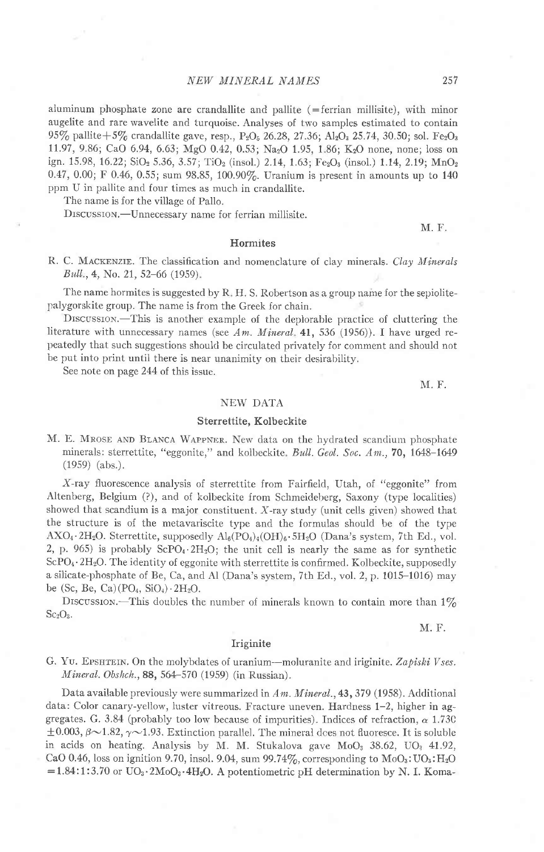aluminum phosphate zone are crandallite and pallite  $($  = ferrian millisite), with minor augelite and rare wavelite and turquoise. Analyses of two samples estimated to contain 95% pallite + 5% crandallite gave, resp., P<sub>2</sub>O<sub>5</sub> 26.28, 27.36; Al<sub>2</sub>O<sub>3</sub> 25.74, 30.50; sol. Fe<sub>2</sub>O<sub>3</sub> 11.97, 9.86; CaO 6.94, 6.63; MgO 0.42, 0.53; Na<sub>2</sub>O 1.95, 1.86; K<sub>2</sub>O none, none; loss on ign. 15.98, 16.22;  $\text{SiO}_2$  5.36, 3.57;  $\text{TiO}_2$  (insol.) 2.14, 1.63; Fe<sub>2</sub>O<sub>3</sub> (insol.) 1.14, 2.19; MnO<sub>2</sub> 0.47, 0.00; F 0.46, 0.55; sum 98.85, 100.90%. Uranium is present in amounts up to 140 ppm U in pallite and four times as much in crandallite.

The name is for the village of Pallo.

DISCUSSION.--Unnecessary name for ferrian millisite.

**Hormites** 

R. C. MACKENZIE. The classification and nomenclature of clay minerals. Clay Minerals Bull., 4, No. 21, 52-66 (1959).

The name hormites is suggested by  $R$ , H. S. Robertson as a group name for the sepiolitepalygorskite group. The name is from the Greek for chain.

DISCUSSION.-This is another example of the deplorable practice of cluttering the literature with unnecessary names (see Am. Mineral. 41, 536 (1956)). I have urged repeatedly that such suggestions should be circulated privately for comment and should not be put into print until there is near unanimity on their desirability.

See note on page 244 of this issue.

M. F.

M. F.

#### NEW DATA

#### Sterrettite, Kolbeckite

M. E. MROSE AND BLANCA WAPPNER. New data on the hydrated scandium phosphate minerals: sterrettite, "eggonite," and kolbeckite. Bull. Geol. Soc. Am., 70, 1648-1649 (19s9) (abs.).

X-ray fluorescence analysis of sterrettite from Fairfield, Utah, of "eggonite" from Altenberg, Belgium (?), and of koibeckite from Schmeideberg, Saxony (type localities) showed that scandium is a major constituent. X-ray study (unit cells given) showed that the structure is of the metavariscite type and the formulas should be of the type  $AXO_4$ ·2H<sub>2</sub>O. Sterrettite, supposedly  $Al_6(PO_4)_4(OH)_6$ ·5H<sub>2</sub>O (Dana's system, 7th Ed., vol. 2, p. 965) is probably ScPO<sub>4</sub>.  $2H_2O$ ; the unit cell is nearly the same as for synthetic  $ScPO<sub>4</sub>·2H<sub>2</sub>O$ . The identity of eggonite with sterrettite is confirmed. Kolbeckite, supposedly a silicate-phosphate of Be, Ca, and Al (Dana's system, 7th Ed., vol. 2, p. 1015-1016) may be (Sc, Be, Ca) $(PO<sub>4</sub>, SiO<sub>4</sub>) \cdot 2H<sub>2</sub>O$ .

DISCUSSION.-This doubles the number of minerals known to contain more than  $1\%$  $Sc<sub>2</sub>O<sub>3</sub>$ .

M. F.

#### Iriginite

G. YU. EPSHTEIN. On the molybdates of uranium---moluranite and iriginite. Zapiski Vses. Mineral. Obshch.,88, 564-570 (1959) (in Russian).

Data available previously were summarized in Am. Mineral., 43, 379 (1958). Additional data: Color canary-yeliow, luster vitreous. Fracture uneven. Hardness 1-2, higher in aggregates. G. 3.84 (probably too low because of impurities). Indices of refraction,  $\alpha$  1.73C  $\pm 0.003$ ,  $\beta \sim 1.82$ ,  $\gamma \sim 1.93$ . Extinction parallel. The mineral dces not fluoresce. It is soluble in acids on heating. Analysis by M. M. Stukalova gave  $MoO<sub>3</sub> 38.62$ ,  $UO<sub>3</sub> 41.92$ , CaO 0.46, loss on ignition 9.70, insol. 9.04, sum 99.74%, corresponding to  $MoO<sub>3</sub>:UO<sub>3</sub>:H<sub>2</sub>O$  $=1.84:1:3.70$  or  $UO_3.2MoO_3.4H_2O$ . A potentiometric pH determination by N. I. Koma-